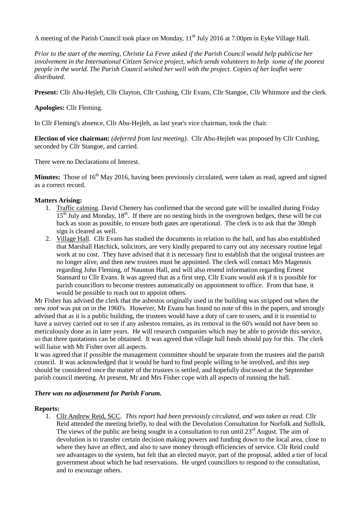A meeting of the Parish Council took place on Monday, 11<sup>th</sup> July 2016 at 7.00pm in Eyke Village Hall.

*Prior to the start of the meeting, Christie La Fevre asked if the Parish Council would help publicise her involvement in the International Citizen Service project, which sends volunteers to help some of the poorest people in the world. The Parish Council wished her well with the project. Copies of her leaflet were distributed.*

**Present:** Cllr Abu-Hejleh, Cllr Clayton, Cllr Cushing, Cllr Evans, Cllr Stangoe, Cllr Whitmore and the clerk.

### **Apologies:** Cllr Fleming.

In Cllr Fleming's absence, Cllr Abu-Hejleh, as last year's vice chairman, took the chair.

**Election of vice chairman:** *(deferred from last meeting).* Cllr Abu-Hejleh was proposed by Cllr Cushing, seconded by Cllr Stangoe, and carried.

There were no Declarations of Interest.

**Minutes:** Those of 16<sup>th</sup> May 2016, having been previously circulated, were taken as read, agreed and signed as a correct record.

### **Matters Arising:**

- 1. Traffic calming. David Chenery has confirmed that the second gate will be installed during Friday  $15<sup>th</sup>$  July and Monday,  $18<sup>th</sup>$ . If there are no nesting birds in the overgrown hedges, these will be cut back as soon as possible, to ensure both gates are operational. The clerk is to ask that the 30mph sign is cleared as well.
- 2. Village Hall. Cllr Evans has studied the documents in relation to the hall, and has also established that Marshall Hatchick, solicitors, are very kindly prepared to carry out any necessary routine legal work at no cost. They have advised that it is necessary first to establish that the original trustees are no longer alive, and then new trustees must be appointed. The clerk will contact Mrs Magennis regarding John Fleming, of Naunton Hall, and will also resend information regarding Ernest Stannard to Cllr Evans. It was agreed that as a first step, Cllr Evans would ask if it is possible for parish councillors to become trustees automatically on appointment to office. From that base, it would be possible to reach out to appoint others.

Mr Fisher has advised the clerk that the asbestos originally used in the building was stripped out when the new roof was put on in the 1960's. However, Mr Evans has found no note of this in the papers, and strongly advised that as it is a public building, the trustees would have a duty of care to users, and it is essential to have a survey carried out to see if any asbestos remains, as its removal in the 60's would not have been so meticulously done as in later years. He will research companies which may be able to provide this service, so that three quotations can be obtained. It was agreed that village hall funds should pay for this. The clerk will liaise with Mr Fisher over all aspects.

It was agreed that if possible the management committee should be separate from the trustees and the parish council. It was acknowledged that it would be hard to find people willing to be involved, and this step should be considered once the matter of the trustees is settled, and hopefully discussed at the September parish council meeting. At present, Mr and Mrs Fisher cope with all aspects of running the hall.

#### *There was no adjournment for Parish Forum.*

#### **Reports:**

1. Cllr Andrew Reid, SCC. *This report had been previously circulated, and was taken as read.* Cllr Reid attended the meeting briefly, to deal with the Devolution Consultation for Norfolk and Suffolk. The views of the public are being sought in a consultation to run until  $23<sup>rd</sup>$  August. The aim of devolution is to transfer certain decision making powers and funding down to the local area, close to where they have an effect, and also to save money through efficiencies of service. Cllr Reid could see advantages to the system, but felt that an elected mayor, part of the proposal, added a tier of local government about which he had reservations. He urged councillors to respond to the consultation, and to encourage others.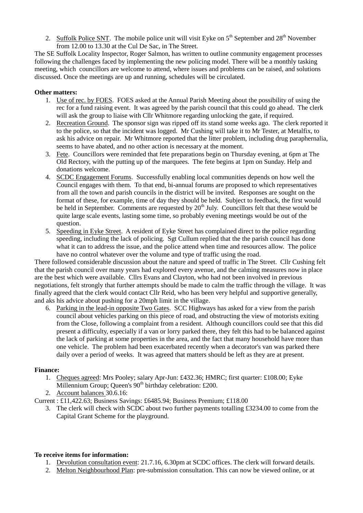2. Suffolk Police SNT. The mobile police unit will visit Eyke on  $5<sup>th</sup>$  September and  $28<sup>th</sup>$  November from 12.00 to 13.30 at the Cul De Sac, in The Street.

The SE Suffolk Locality Inspector, Roger Salmon, has written to outline community engagement processes following the challenges faced by implementing the new policing model. There will be a monthly tasking meeting, which councillors are welcome to attend, where issues and problems can be raised, and solutions discussed. Once the meetings are up and running, schedules will be circulated.

# **Other matters:**

- 1. Use of rec. by FOES. FOES asked at the Annual Parish Meeting about the possibility of using the rec for a fund raising event. It was agreed by the parish council that this could go ahead. The clerk will ask the group to liaise with Cllr Whitmore regarding unlocking the gate, if required.
- 2. Recreation Ground. The sponsor sign was ripped off its stand some weeks ago. The clerk reported it to the police, so that the incident was logged. Mr Cushing will take it to Mr Tester, at Metalfix, to ask his advice on repair. Mr Whitmore reported that the litter problem, including drug paraphernalia, seems to have abated, and no other action is necessary at the moment.
- 3. Fete. Councillors were reminded that fete preparations begin on Thursday evening, at 6pm at The Old Rectory, with the putting up of the marquees. The fete begins at 1pm on Sunday. Help and donations welcome.
- 4. SCDC Engagement Forums. Successfully enabling local communities depends on how well the Council engages with them. To that end, bi-annual forums are proposed to which representatives from all the town and parish councils in the district will be invited. Responses are sought on the format of these, for example, time of day they should be held. Subject to feedback, the first would be held in September. Comments are requested by  $20<sup>th</sup>$  July. Councillors felt that these would be quite large scale events, lasting some time, so probably evening meetings would be out of the question.
- 5. Speeding in Eyke Street. A resident of Eyke Street has complained direct to the police regarding speeding, including the lack of policing. Sgt Cullum replied that the the parish council has done what it can to address the issue, and the police attend when time and resources allow. The police have no control whatever over the volume and type of traffic using the road.

There followed considerable discussion about the nature and speed of traffic in The Street. Cllr Cushing felt that the parish council over many years had explored every avenue, and the calming measures now in place are the best which were available. Cllrs Evans and Clayton, who had not been involved in previous negotiations, felt strongly that further attempts should be made to calm the traffic through the village. It was finally agreed that the clerk would contact Cllr Reid, who has been very helpful and supportive generally, and aks his advice about pushing for a 20mph limit in the village.

6. Parking in the lead-in opposite Two Gates. SCC Highways has asked for a view from the parish council about vehicles parking on this piece of road, and obstructing the view of motorists exiting from the Close, following a complaint from a resident. Although councillors could see that this did present a difficulty, especially if a van or lorry parked there, they felt this had to be balanced against the lack of parking at some properties in the area, and the fact that many household have more than one vehicle. The problem had been exacerbated recently when a decorator's van was parked there daily over a period of weeks. It was agreed that matters should be left as they are at present.

# **Finance:**

- 1. Cheques agreed: Mrs Pooley; salary Apr-Jun: £432.36; HMRC; first quarter: £108.00; Eyke Millennium Group; Queen's  $90<sup>th</sup>$  birthday celebration: £200.
- 2. Account balances 30.6.16:

Current : £11,422.63; Business Savings: £6485.94; Business Premium; £118.00

3. The clerk will check with SCDC about two further payments totalling £3234.00 to come from the Capital Grant Scheme for the playground.

#### **To receive items for information:**

- 1. Devolution consultation event: 21.7.16, 6.30pm at SCDC offices. The clerk will forward details.
- 2. Melton Neighbourhood Plan: pre-submission consultation. This can now be viewed online, or at